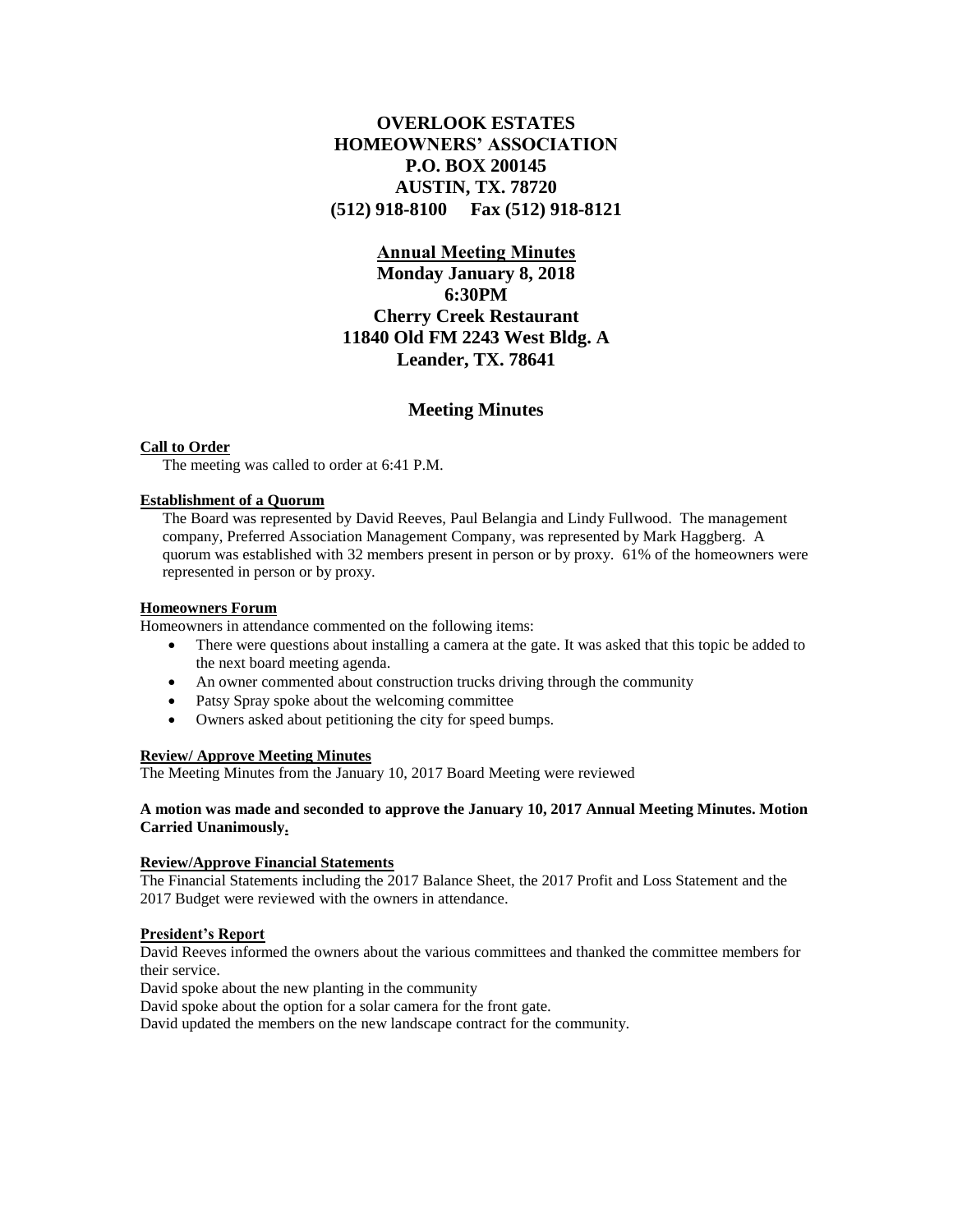# **OVERLOOK ESTATES HOMEOWNERS' ASSOCIATION P.O. BOX 200145 AUSTIN, TX. 78720 (512) 918-8100 Fax (512) 918-8121**

## **Annual Meeting Minutes**

**Monday January 8, 2018 6:30PM Cherry Creek Restaurant 11840 Old FM 2243 West Bldg. A Leander, TX. 78641**

# **Meeting Minutes**

#### **Call to Order**

The meeting was called to order at 6:41 P.M.

## **Establishment of a Quorum**

The Board was represented by David Reeves, Paul Belangia and Lindy Fullwood. The management company, Preferred Association Management Company, was represented by Mark Haggberg. A quorum was established with 32 members present in person or by proxy. 61% of the homeowners were represented in person or by proxy.

#### **Homeowners Forum**

Homeowners in attendance commented on the following items:

- There were questions about installing a camera at the gate. It was asked that this topic be added to the next board meeting agenda.
- An owner commented about construction trucks driving through the community
- Patsy Spray spoke about the welcoming committee
- Owners asked about petitioning the city for speed bumps.

## **Review/ Approve Meeting Minutes**

The Meeting Minutes from the January 10, 2017 Board Meeting were reviewed

#### **A motion was made and seconded to approve the January 10, 2017 Annual Meeting Minutes. Motion Carried Unanimously.**

## **Review/Approve Financial Statements**

The Financial Statements including the 2017 Balance Sheet, the 2017 Profit and Loss Statement and the 2017 Budget were reviewed with the owners in attendance.

#### **President's Report**

David Reeves informed the owners about the various committees and thanked the committee members for their service.

David spoke about the new planting in the community

David spoke about the option for a solar camera for the front gate.

David updated the members on the new landscape contract for the community.